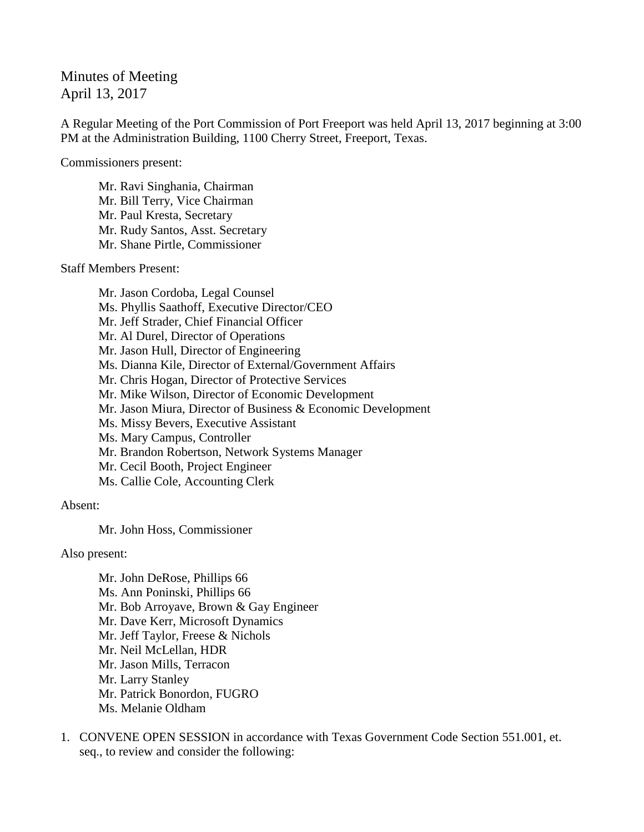Minutes of Meeting April 13, 2017

A Regular Meeting of the Port Commission of Port Freeport was held April 13, 2017 beginning at 3:00 PM at the Administration Building, 1100 Cherry Street, Freeport, Texas.

Commissioners present:

Mr. Ravi Singhania, Chairman Mr. Bill Terry, Vice Chairman Mr. Paul Kresta, Secretary Mr. Rudy Santos, Asst. Secretary Mr. Shane Pirtle, Commissioner

Staff Members Present:

Mr. Jason Cordoba, Legal Counsel Ms. Phyllis Saathoff, Executive Director/CEO Mr. Jeff Strader, Chief Financial Officer Mr. Al Durel, Director of Operations Mr. Jason Hull, Director of Engineering Ms. Dianna Kile, Director of External/Government Affairs Mr. Chris Hogan, Director of Protective Services Mr. Mike Wilson, Director of Economic Development Mr. Jason Miura, Director of Business & Economic Development Ms. Missy Bevers, Executive Assistant Ms. Mary Campus, Controller Mr. Brandon Robertson, Network Systems Manager Mr. Cecil Booth, Project Engineer Ms. Callie Cole, Accounting Clerk

Absent:

Mr. John Hoss, Commissioner

Also present:

Mr. John DeRose, Phillips 66 Ms. Ann Poninski, Phillips 66 Mr. Bob Arroyave, Brown & Gay Engineer Mr. Dave Kerr, Microsoft Dynamics Mr. Jeff Taylor, Freese & Nichols Mr. Neil McLellan, HDR Mr. Jason Mills, Terracon Mr. Larry Stanley Mr. Patrick Bonordon, FUGRO Ms. Melanie Oldham

1. CONVENE OPEN SESSION in accordance with Texas Government Code Section 551.001, et. seq., to review and consider the following: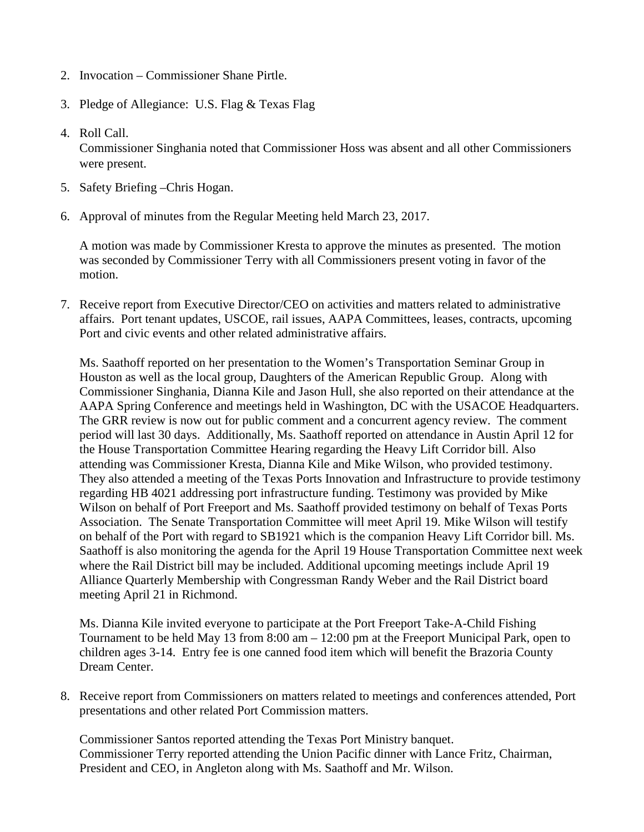- 2. Invocation Commissioner Shane Pirtle.
- 3. Pledge of Allegiance: U.S. Flag & Texas Flag
- 4. Roll Call.

Commissioner Singhania noted that Commissioner Hoss was absent and all other Commissioners were present.

- 5. Safety Briefing –Chris Hogan.
- 6. Approval of minutes from the Regular Meeting held March 23, 2017.

A motion was made by Commissioner Kresta to approve the minutes as presented. The motion was seconded by Commissioner Terry with all Commissioners present voting in favor of the motion.

7. Receive report from Executive Director/CEO on activities and matters related to administrative affairs. Port tenant updates, USCOE, rail issues, AAPA Committees, leases, contracts, upcoming Port and civic events and other related administrative affairs.

Ms. Saathoff reported on her presentation to the Women's Transportation Seminar Group in Houston as well as the local group, Daughters of the American Republic Group. Along with Commissioner Singhania, Dianna Kile and Jason Hull, she also reported on their attendance at the AAPA Spring Conference and meetings held in Washington, DC with the USACOE Headquarters. The GRR review is now out for public comment and a concurrent agency review. The comment period will last 30 days. Additionally, Ms. Saathoff reported on attendance in Austin April 12 for the House Transportation Committee Hearing regarding the Heavy Lift Corridor bill. Also attending was Commissioner Kresta, Dianna Kile and Mike Wilson, who provided testimony. They also attended a meeting of the Texas Ports Innovation and Infrastructure to provide testimony regarding HB 4021 addressing port infrastructure funding. Testimony was provided by Mike Wilson on behalf of Port Freeport and Ms. Saathoff provided testimony on behalf of Texas Ports Association. The Senate Transportation Committee will meet April 19. Mike Wilson will testify on behalf of the Port with regard to SB1921 which is the companion Heavy Lift Corridor bill. Ms. Saathoff is also monitoring the agenda for the April 19 House Transportation Committee next week where the Rail District bill may be included. Additional upcoming meetings include April 19 Alliance Quarterly Membership with Congressman Randy Weber and the Rail District board meeting April 21 in Richmond.

Ms. Dianna Kile invited everyone to participate at the Port Freeport Take-A-Child Fishing Tournament to be held May 13 from 8:00 am – 12:00 pm at the Freeport Municipal Park, open to children ages 3-14. Entry fee is one canned food item which will benefit the Brazoria County Dream Center.

8. Receive report from Commissioners on matters related to meetings and conferences attended, Port presentations and other related Port Commission matters.

Commissioner Santos reported attending the Texas Port Ministry banquet. Commissioner Terry reported attending the Union Pacific dinner with Lance Fritz, Chairman, President and CEO, in Angleton along with Ms. Saathoff and Mr. Wilson.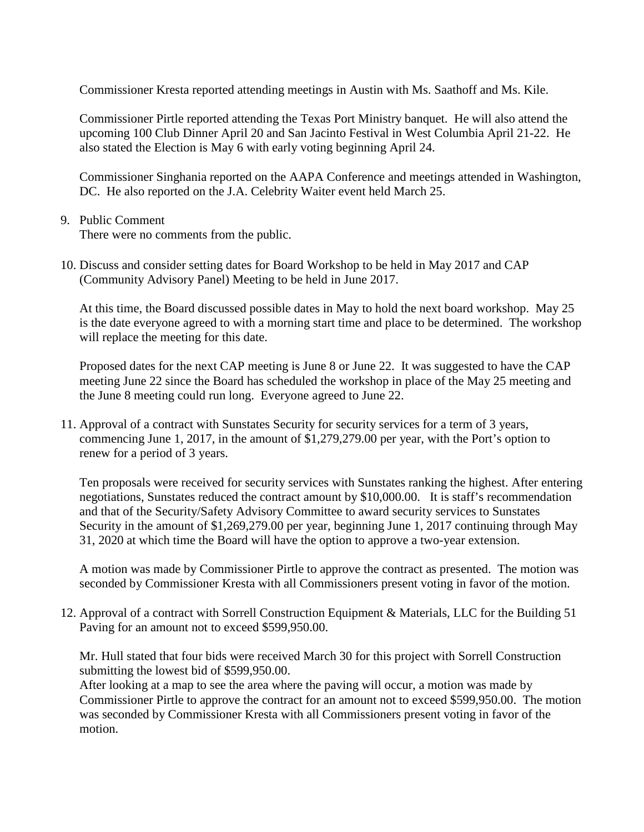Commissioner Kresta reported attending meetings in Austin with Ms. Saathoff and Ms. Kile.

Commissioner Pirtle reported attending the Texas Port Ministry banquet. He will also attend the upcoming 100 Club Dinner April 20 and San Jacinto Festival in West Columbia April 21-22. He also stated the Election is May 6 with early voting beginning April 24.

Commissioner Singhania reported on the AAPA Conference and meetings attended in Washington, DC. He also reported on the J.A. Celebrity Waiter event held March 25.

9. Public Comment

There were no comments from the public.

10. Discuss and consider setting dates for Board Workshop to be held in May 2017 and CAP (Community Advisory Panel) Meeting to be held in June 2017.

At this time, the Board discussed possible dates in May to hold the next board workshop. May 25 is the date everyone agreed to with a morning start time and place to be determined. The workshop will replace the meeting for this date.

Proposed dates for the next CAP meeting is June 8 or June 22. It was suggested to have the CAP meeting June 22 since the Board has scheduled the workshop in place of the May 25 meeting and the June 8 meeting could run long. Everyone agreed to June 22.

11. Approval of a contract with Sunstates Security for security services for a term of 3 years, commencing June 1, 2017, in the amount of \$1,279,279.00 per year, with the Port's option to renew for a period of 3 years.

Ten proposals were received for security services with Sunstates ranking the highest. After entering negotiations, Sunstates reduced the contract amount by \$10,000.00. It is staff's recommendation and that of the Security/Safety Advisory Committee to award security services to Sunstates Security in the amount of \$1,269,279.00 per year, beginning June 1, 2017 continuing through May 31, 2020 at which time the Board will have the option to approve a two-year extension.

A motion was made by Commissioner Pirtle to approve the contract as presented. The motion was seconded by Commissioner Kresta with all Commissioners present voting in favor of the motion.

12. Approval of a contract with Sorrell Construction Equipment & Materials, LLC for the Building 51 Paving for an amount not to exceed \$599,950.00.

Mr. Hull stated that four bids were received March 30 for this project with Sorrell Construction submitting the lowest bid of \$599,950.00.

After looking at a map to see the area where the paving will occur, a motion was made by Commissioner Pirtle to approve the contract for an amount not to exceed \$599,950.00. The motion was seconded by Commissioner Kresta with all Commissioners present voting in favor of the motion.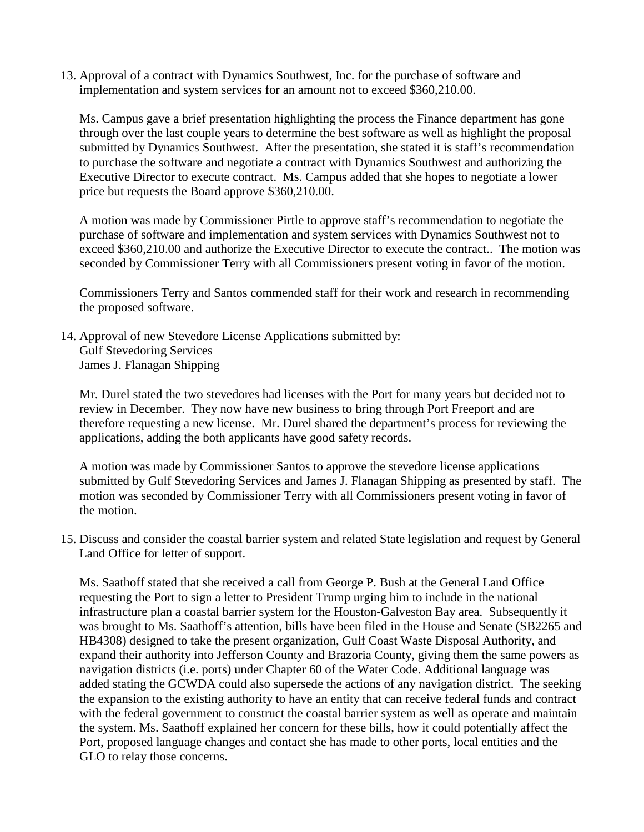13. Approval of a contract with Dynamics Southwest, Inc. for the purchase of software and implementation and system services for an amount not to exceed \$360,210.00.

Ms. Campus gave a brief presentation highlighting the process the Finance department has gone through over the last couple years to determine the best software as well as highlight the proposal submitted by Dynamics Southwest. After the presentation, she stated it is staff's recommendation to purchase the software and negotiate a contract with Dynamics Southwest and authorizing the Executive Director to execute contract. Ms. Campus added that she hopes to negotiate a lower price but requests the Board approve \$360,210.00.

A motion was made by Commissioner Pirtle to approve staff's recommendation to negotiate the purchase of software and implementation and system services with Dynamics Southwest not to exceed \$360,210.00 and authorize the Executive Director to execute the contract.. The motion was seconded by Commissioner Terry with all Commissioners present voting in favor of the motion.

Commissioners Terry and Santos commended staff for their work and research in recommending the proposed software.

14. Approval of new Stevedore License Applications submitted by: Gulf Stevedoring Services James J. Flanagan Shipping

Mr. Durel stated the two stevedores had licenses with the Port for many years but decided not to review in December. They now have new business to bring through Port Freeport and are therefore requesting a new license. Mr. Durel shared the department's process for reviewing the applications, adding the both applicants have good safety records.

A motion was made by Commissioner Santos to approve the stevedore license applications submitted by Gulf Stevedoring Services and James J. Flanagan Shipping as presented by staff. The motion was seconded by Commissioner Terry with all Commissioners present voting in favor of the motion.

15. Discuss and consider the coastal barrier system and related State legislation and request by General Land Office for letter of support.

Ms. Saathoff stated that she received a call from George P. Bush at the General Land Office requesting the Port to sign a letter to President Trump urging him to include in the national infrastructure plan a coastal barrier system for the Houston-Galveston Bay area. Subsequently it was brought to Ms. Saathoff's attention, bills have been filed in the House and Senate (SB2265 and HB4308) designed to take the present organization, Gulf Coast Waste Disposal Authority, and expand their authority into Jefferson County and Brazoria County, giving them the same powers as navigation districts (i.e. ports) under Chapter 60 of the Water Code. Additional language was added stating the GCWDA could also supersede the actions of any navigation district. The seeking the expansion to the existing authority to have an entity that can receive federal funds and contract with the federal government to construct the coastal barrier system as well as operate and maintain the system. Ms. Saathoff explained her concern for these bills, how it could potentially affect the Port, proposed language changes and contact she has made to other ports, local entities and the GLO to relay those concerns.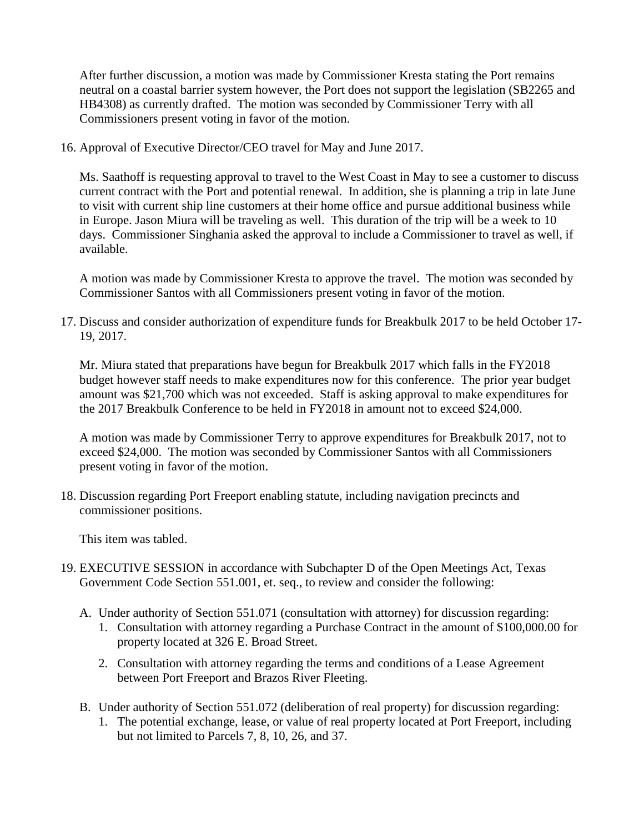After further discussion, a motion was made by Commissioner Kresta stating the Port remains neutral on a coastal barrier system however, the Port does not support the legislation (SB2265 and HB4308) as currently drafted. The motion was seconded by Commissioner Terry with all Commissioners present voting in favor of the motion.

16. Approval of Executive Director/CEO travel for May and June 2017.

Ms. Saathoff is requesting approval to travel to the West Coast in May to see a customer to discuss current contract with the Port and potential renewal. In addition, she is planning a trip in late June to visit with current ship line customers at their home office and pursue additional business while in Europe. Jason Miura will be traveling as well. This duration of the trip will be a week to 10 days. Commissioner Singhania asked the approval to include a Commissioner to travel as well, if available.

A motion was made by Commissioner Kresta to approve the travel. The motion was seconded by Commissioner Santos with all Commissioners present voting in favor of the motion.

17. Discuss and consider authorization of expenditure funds for Breakbulk 2017 to be held October 17- 19, 2017.

Mr. Miura stated that preparations have begun for Breakbulk 2017 which falls in the FY2018 budget however staff needs to make expenditures now for this conference. The prior year budget amount was \$21,700 which was not exceeded. Staff is asking approval to make expenditures for the 2017 Breakbulk Conference to be held in FY2018 in amount not to exceed \$24,000.

A motion was made by Commissioner Terry to approve expenditures for Breakbulk 2017, not to exceed \$24,000. The motion was seconded by Commissioner Santos with all Commissioners present voting in favor of the motion.

18. Discussion regarding Port Freeport enabling statute, including navigation precincts and commissioner positions.

This item was tabled.

- 19. EXECUTIVE SESSION in accordance with Subchapter D of the Open Meetings Act, Texas Government Code Section 551.001, et. seq., to review and consider the following:
	- A. Under authority of Section 551.071 (consultation with attorney) for discussion regarding:
		- 1. Consultation with attorney regarding a Purchase Contract in the amount of \$100,000.00 for property located at 326 E. Broad Street.
		- 2. Consultation with attorney regarding the terms and conditions of a Lease Agreement between Port Freeport and Brazos River Fleeting.
	- B. Under authority of Section 551.072 (deliberation of real property) for discussion regarding:
		- 1. The potential exchange, lease, or value of real property located at Port Freeport, including but not limited to Parcels 7, 8, 10, 26, and 37.